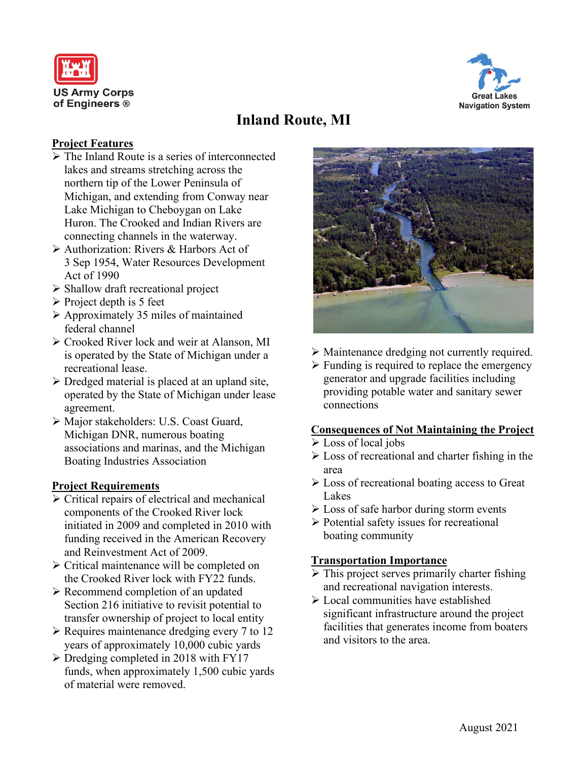



# **Inland Route, MI**

## **Project Features**

- $\triangleright$  The Inland Route is a series of interconnected lakes and streams stretching across the northern tip of the Lower Peninsula of Michigan, and extending from Conway near Lake Michigan to Cheboygan on Lake Huron. The Crooked and Indian Rivers are connecting channels in the waterway.
- Authorization: Rivers & Harbors Act of 3 Sep 1954, Water Resources Development Act of 1990
- $\triangleright$  Shallow draft recreational project
- $\triangleright$  Project depth is 5 feet
- $\triangleright$  Approximately 35 miles of maintained federal channel
- ► Crooked River lock and weir at Alanson, MI is operated by the State of Michigan under a recreational lease.
- $\triangleright$  Dredged material is placed at an upland site, operated by the State of Michigan under lease agreement.
- Major stakeholders: U.S. Coast Guard, Michigan DNR, numerous boating associations and marinas, and the Michigan Boating Industries Association

#### **Project Requirements**

- Critical repairs of electrical and mechanical components of the Crooked River lock initiated in 2009 and completed in 2010 with funding received in the American Recovery and Reinvestment Act of 2009.
- $\triangleright$  Critical maintenance will be completed on the Crooked River lock with FY22 funds.
- $\triangleright$  Recommend completion of an updated Section 216 initiative to revisit potential to transfer ownership of project to local entity
- $\triangleright$  Requires maintenance dredging every 7 to 12 years of approximately 10,000 cubic yards
- $\triangleright$  Dredging completed in 2018 with FY17 funds, when approximately 1,500 cubic yards of material were removed.



- Maintenance dredging not currently required.
- $\triangleright$  Funding is required to replace the emergency generator and upgrade facilities including providing potable water and sanitary sewer connections

#### **Consequences of Not Maintaining the Project**

- Loss of local jobs
- $\triangleright$  Loss of recreational and charter fishing in the area
- Loss of recreational boating access to Great Lakes
- $\triangleright$  Loss of safe harbor during storm events
- $\triangleright$  Potential safety issues for recreational boating community

#### **Transportation Importance**

- $\triangleright$  This project serves primarily charter fishing and recreational navigation interests.
- Local communities have established significant infrastructure around the project facilities that generates income from boaters and visitors to the area.